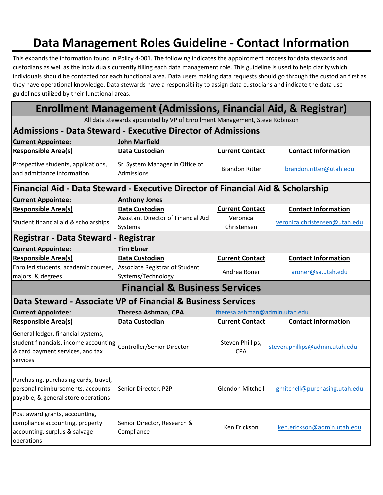## **Data Management Roles Guideline - Contact Information**

This expands the information found in Policy 4-001. The following indicates the appointment process for data stewards and custodians as well as the individuals currently filling each data management role. This guideline is used to help clarify which individuals should be contacted for each functional area. Data users making data requests should go through the custodian first as they have operational knowledge. Data stewards have a responsibility to assign data custodians and indicate the data use guidelines utilized by their functional areas.

**Enrollment Management (Admissions, Financial Aid, & Registrar)**

All data stewards appointed by VP of Enrollment Management, Steve Robinson

| <b>Admissions - Data Steward - Executive Director of Admissions</b>                                                         |                                                |                                |                                |  |  |
|-----------------------------------------------------------------------------------------------------------------------------|------------------------------------------------|--------------------------------|--------------------------------|--|--|
| <b>Current Appointee:</b>                                                                                                   | <b>John Marfield</b>                           |                                |                                |  |  |
| <b>Responsible Area(s)</b>                                                                                                  | Data Custodian                                 | <b>Current Contact</b>         | <b>Contact Information</b>     |  |  |
| Prospective students, applications,<br>and admittance information                                                           | Sr. System Manager in Office of<br>Admissions  | <b>Brandon Ritter</b>          | brandon.ritter@utah.edu        |  |  |
| Financial Aid - Data Steward - Executive Director of Financial Aid & Scholarship                                            |                                                |                                |                                |  |  |
| <b>Current Appointee:</b>                                                                                                   | <b>Anthony Jones</b>                           |                                |                                |  |  |
| <b>Responsible Area(s)</b>                                                                                                  | Data Custodian                                 | <b>Current Contact</b>         | <b>Contact Information</b>     |  |  |
| Student financial aid & scholarships                                                                                        | Assistant Director of Financial Aid<br>Systems | Veronica<br>Christensen        | veronica.christensen@utah.edu  |  |  |
| <b>Registrar - Data Steward - Registrar</b>                                                                                 |                                                |                                |                                |  |  |
| <b>Current Appointee:</b>                                                                                                   | <b>Tim Ebner</b>                               |                                |                                |  |  |
| <b>Responsible Area(s)</b>                                                                                                  | Data Custodian                                 | <b>Current Contact</b>         | <b>Contact Information</b>     |  |  |
| Enrolled students, academic courses, Associate Registrar of Student<br>majors, & degrees                                    | Systems/Technology                             | Andrea Roner                   | aroner@sa.utah.edu             |  |  |
| <b>Financial &amp; Business Services</b>                                                                                    |                                                |                                |                                |  |  |
| Data Steward - Associate VP of Financial & Business Services                                                                |                                                |                                |                                |  |  |
| <b>Current Appointee:</b>                                                                                                   | <b>Theresa Ashman, CPA</b>                     | theresa.ashman@admin.utah.edu  |                                |  |  |
| <b>Responsible Area(s)</b>                                                                                                  | Data Custodian                                 | <b>Current Contact</b>         | <b>Contact Information</b>     |  |  |
| General ledger, financial systems,<br>student financials, income accounting<br>& card payment services, and tax<br>services | Controller/Senior Director                     | Steven Phillips,<br><b>CPA</b> | steven.phillips@admin.utah.edu |  |  |
| Purchasing, purchasing cards, travel,<br>personal reimbursements, accounts<br>payable, & general store operations           | Senior Director, P2P                           | <b>Glendon Mitchell</b>        | gmitchell@purchasing.utah.edu  |  |  |
| Post award grants, accounting,<br>compliance accounting, property<br>accounting, surplus & salvage<br>operations            | Senior Director, Research &<br>Compliance      | Ken Erickson                   | ken.erickson@admin.utah.edu    |  |  |